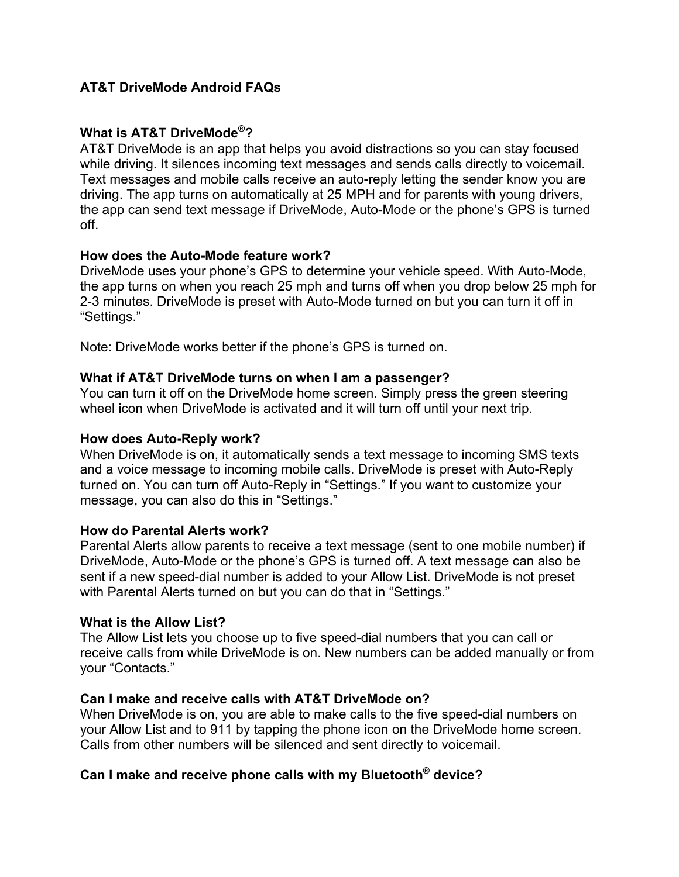# **AT&T DriveMode Android FAQs**

# **What is AT&T DriveMode®?**

AT&T DriveMode is an app that helps you avoid distractions so you can stay focused while driving. It silences incoming text messages and sends calls directly to voicemail. Text messages and mobile calls receive an auto-reply letting the sender know you are driving. The app turns on automatically at 25 MPH and for parents with young drivers, the app can send text message if DriveMode, Auto-Mode or the phone's GPS is turned off.

### **How does the Auto-Mode feature work?**

DriveMode uses your phone's GPS to determine your vehicle speed. With Auto-Mode, the app turns on when you reach 25 mph and turns off when you drop below 25 mph for 2-3 minutes. DriveMode is preset with Auto-Mode turned on but you can turn it off in "Settings."

Note: DriveMode works better if the phone's GPS is turned on.

### **What if AT&T DriveMode turns on when I am a passenger?**

You can turn it off on the DriveMode home screen. Simply press the green steering wheel icon when DriveMode is activated and it will turn off until your next trip.

#### **How does Auto-Reply work?**

When DriveMode is on, it automatically sends a text message to incoming SMS texts and a voice message to incoming mobile calls. DriveMode is preset with Auto-Reply turned on. You can turn off Auto-Reply in "Settings." If you want to customize your message, you can also do this in "Settings."

#### **How do Parental Alerts work?**

Parental Alerts allow parents to receive a text message (sent to one mobile number) if DriveMode, Auto-Mode or the phone's GPS is turned off. A text message can also be sent if a new speed-dial number is added to your Allow List. DriveMode is not preset with Parental Alerts turned on but you can do that in "Settings."

#### **What is the Allow List?**

The Allow List lets you choose up to five speed-dial numbers that you can call or receive calls from while DriveMode is on. New numbers can be added manually or from your "Contacts."

#### **Can I make and receive calls with AT&T DriveMode on?**

When DriveMode is on, you are able to make calls to the five speed-dial numbers on your Allow List and to 911 by tapping the phone icon on the DriveMode home screen. Calls from other numbers will be silenced and sent directly to voicemail.

# **Can I make and receive phone calls with my Bluetooth® device?**